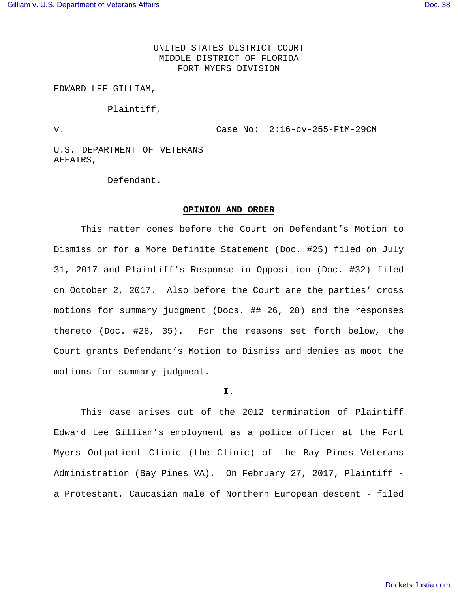UNITED STATES DISTRICT COURT MIDDLE DISTRICT OF FLORIDA FORT MYERS DIVISION

#### EDWARD LEE GILLIAM,

Plaintiff,

v. Case No: 2:16-cv-255-FtM-29CM

U.S. DEPARTMENT OF VETERANS AFFAIRS,

Defendant.

## **OPINION AND ORDER**

This matter comes before the Court on Defendant's Motion to Dismiss or for a More Definite Statement (Doc. #25) filed on July 31, 2017 and Plaintiff's Response in Opposition (Doc. #32) filed on October 2, 2017. Also before the Court are the parties' cross motions for summary judgment (Docs. ## 26, 28) and the responses thereto (Doc. #28, 35). For the reasons set forth below, the Court grants Defendant's Motion to Dismiss and denies as moot the motions for summary judgment.

#### **I.**

 This case arises out of the 2012 termination of Plaintiff Edward Lee Gilliam's employment as a police officer at the Fort Myers Outpatient Clinic (the Clinic) of the Bay Pines Veterans Administration (Bay Pines VA). On February 27, 2017, Plaintiff a Protestant, Caucasian male of Northern European descent - filed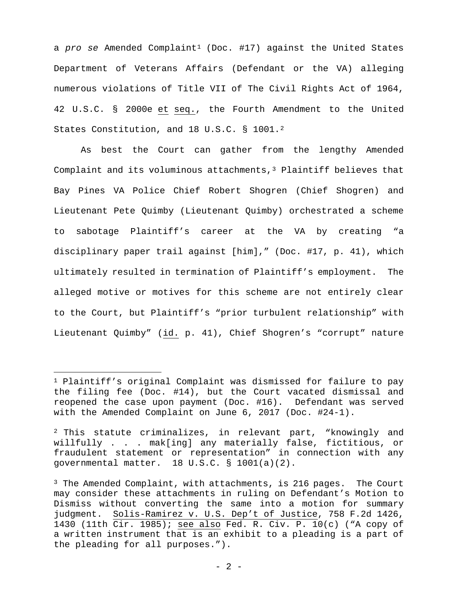a pro se Amended Complaint<sup>[1](#page-1-0)</sup> (Doc. #17) against the United States Department of Veterans Affairs (Defendant or the VA) alleging numerous violations of Title VII of The Civil Rights Act of 1964, 42 U.S.C. § 2000e et seq., the Fourth Amendment to the United States Constitution, and 18 U.S.C. § 1001.[2](#page-1-1)

As best the Court can gather from the lengthy Amended Complaint and its voluminous attachments, $3$  Plaintiff believes that Bay Pines VA Police Chief Robert Shogren (Chief Shogren) and Lieutenant Pete Quimby (Lieutenant Quimby) orchestrated a scheme to sabotage Plaintiff's career at the VA by creating "a disciplinary paper trail against [him]," (Doc. #17, p. 41), which ultimately resulted in termination of Plaintiff's employment. The alleged motive or motives for this scheme are not entirely clear to the Court, but Plaintiff's "prior turbulent relationship" with Lieutenant Quimby" (id. p. 41), Chief Shogren's "corrupt" nature

<span id="page-1-0"></span><sup>1</sup> Plaintiff's original Complaint was dismissed for failure to pay the filing fee (Doc. #14), but the Court vacated dismissal and reopened the case upon payment (Doc. #16). Defendant was served with the Amended Complaint on June 6, 2017 (Doc. #24-1).

<span id="page-1-1"></span><sup>&</sup>lt;sup>2</sup> This statute criminalizes, in relevant part, "knowingly and willfully . . . mak[ing] any materially false, fictitious, or fraudulent statement or representation" in connection with any governmental matter. 18 U.S.C. § 1001(a)(2).

<span id="page-1-2"></span><sup>3</sup> The Amended Complaint, with attachments, is 216 pages. The Court may consider these attachments in ruling on Defendant's Motion to Dismiss without converting the same into a motion for summary judgment. Solis-Ramirez v. U.S. Dep't of Justice, 758 F.2d 1426, 1430 (11th Cir. 1985); see also Fed. R. Civ. P. 10(c) ("A copy of a written instrument that is an exhibit to a pleading is a part of the pleading for all purposes.").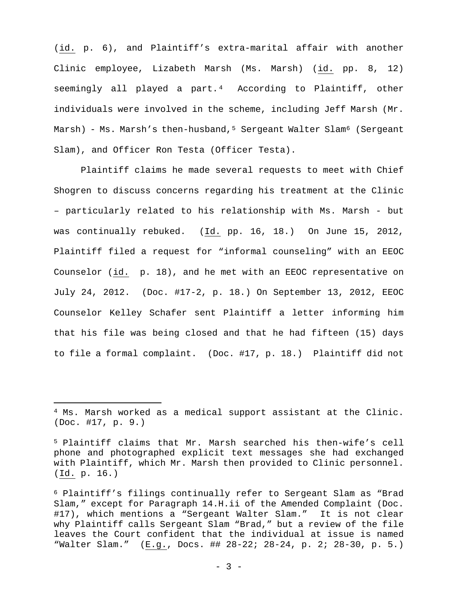(id. p. 6), and Plaintiff's extra-marital affair with another Clinic employee, Lizabeth Marsh (Ms. Marsh) (id. pp. 8, 12) seemingly all played a part.<sup>[4](#page-2-0)</sup> According to Plaintiff, other individuals were involved in the scheme, including Jeff Marsh (Mr. Marsh) - Ms. Marsh's then-husband,<sup>[5](#page-2-1)</sup> Sergeant Walter Slam<sup>[6](#page-2-2)</sup> (Sergeant Slam), and Officer Ron Testa (Officer Testa).

Plaintiff claims he made several requests to meet with Chief Shogren to discuss concerns regarding his treatment at the Clinic – particularly related to his relationship with Ms. Marsh - but was continually rebuked. (Id. pp. 16, 18.) On June 15, 2012, Plaintiff filed a request for "informal counseling" with an EEOC Counselor (id. p. 18), and he met with an EEOC representative on July 24, 2012. (Doc. #17-2, p. 18.) On September 13, 2012, EEOC Counselor Kelley Schafer sent Plaintiff a letter informing him that his file was being closed and that he had fifteen (15) days to file a formal complaint. (Doc. #17, p. 18.) Plaintiff did not

<span id="page-2-0"></span><sup>4</sup> Ms. Marsh worked as a medical support assistant at the Clinic. (Doc. #17, p. 9.)

<span id="page-2-1"></span><sup>5</sup> Plaintiff claims that Mr. Marsh searched his then-wife's cell phone and photographed explicit text messages she had exchanged with Plaintiff, which Mr. Marsh then provided to Clinic personnel. (Id. p. 16.)

<span id="page-2-2"></span><sup>6</sup> Plaintiff's filings continually refer to Sergeant Slam as "Brad Slam," except for Paragraph 14.H.ii of the Amended Complaint (Doc. #17), which mentions a "Sergeant Walter Slam." It is not clear why Plaintiff calls Sergeant Slam "Brad," but a review of the file leaves the Court confident that the individual at issue is named "Walter Slam." (E.g., Docs. ## 28-22; 28-24, p. 2; 28-30, p. 5.)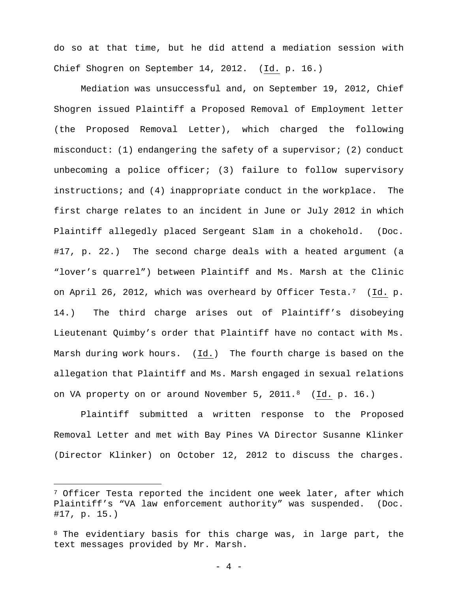do so at that time, but he did attend a mediation session with Chief Shogren on September 14, 2012. (Id. p. 16.)

Mediation was unsuccessful and, on September 19, 2012, Chief Shogren issued Plaintiff a Proposed Removal of Employment letter (the Proposed Removal Letter), which charged the following misconduct: (1) endangering the safety of a supervisor; (2) conduct unbecoming a police officer; (3) failure to follow supervisory instructions; and (4) inappropriate conduct in the workplace. The first charge relates to an incident in June or July 2012 in which Plaintiff allegedly placed Sergeant Slam in a chokehold. (Doc. #17, p. 22.) The second charge deals with a heated argument (a "lover's quarrel") between Plaintiff and Ms. Marsh at the Clinic on April 26, 2012, which was overheard by Officer Testa.[7](#page-3-0) (Id. p. 14.) The third charge arises out of Plaintiff's disobeying Lieutenant Quimby's order that Plaintiff have no contact with Ms. Marsh during work hours. (Id.) The fourth charge is based on the allegation that Plaintiff and Ms. Marsh engaged in sexual relations on VA property on or around November 5, 2011.<sup>[8](#page-3-1)</sup> (Id. p. 16.)

Plaintiff submitted a written response to the Proposed Removal Letter and met with Bay Pines VA Director Susanne Klinker (Director Klinker) on October 12, 2012 to discuss the charges.

<span id="page-3-0"></span><sup>&</sup>lt;sup>7</sup> Officer Testa reported the incident one week later, after which Plaintiff's "VA law enforcement authority" was suspended. (Doc. #17, p. 15.)

<span id="page-3-1"></span><sup>&</sup>lt;sup>8</sup> The evidentiary basis for this charge was, in large part, the text messages provided by Mr. Marsh.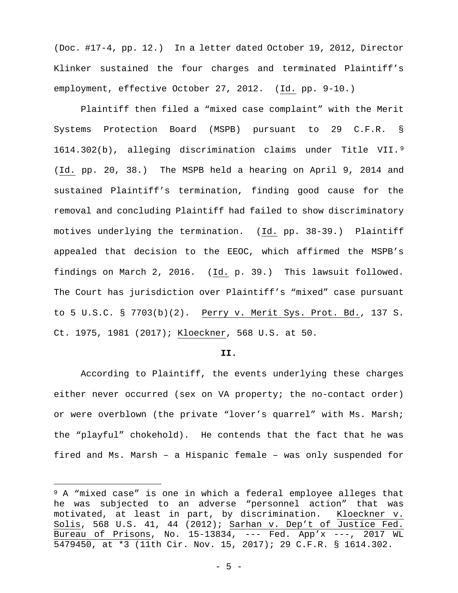(Doc. #17-4, pp. 12.) In a letter dated October 19, 2012, Director Klinker sustained the four charges and terminated Plaintiff's employment, effective October 27, 2012. (Id. pp. 9-10.)

Plaintiff then filed a "mixed case complaint" with the Merit Systems Protection Board (MSPB) pursuant to 29 C.F.R. § 1614.302(b), alleging discrimination claims under Title VII.[9](#page-4-0) (Id. pp. 20, 38.) The MSPB held a hearing on April 9, 2014 and sustained Plaintiff's termination, finding good cause for the removal and concluding Plaintiff had failed to show discriminatory motives underlying the termination. (Id. pp. 38-39.) Plaintiff appealed that decision to the EEOC, which affirmed the MSPB's findings on March 2, 2016. (Id. p. 39.) This lawsuit followed. The Court has jurisdiction over Plaintiff's "mixed" case pursuant to 5 U.S.C. § 7703(b)(2). Perry v. Merit Sys. Prot. Bd., 137 S. Ct. 1975, 1981 (2017); Kloeckner, 568 U.S. at 50.

#### **II.**

According to Plaintiff, the events underlying these charges either never occurred (sex on VA property; the no-contact order) or were overblown (the private "lover's quarrel" with Ms. Marsh; the "playful" chokehold). He contends that the fact that he was fired and Ms. Marsh – a Hispanic female – was only suspended for

<span id="page-4-0"></span><sup>&</sup>lt;sup>9</sup> A "mixed case" is one in which a federal employee alleges that he was subjected to an adverse "personnel action" that was motivated, at least in part, by discrimination. Kloeckner v. Solis, 568 U.S. 41, 44 (2012); Sarhan v. Dep't of Justice Fed. Bureau of Prisons, No. 15-13834, --- Fed. App'x ---, 2017 WL 5479450, at \*3 (11th Cir. Nov. 15, 2017); 29 C.F.R. § 1614.302.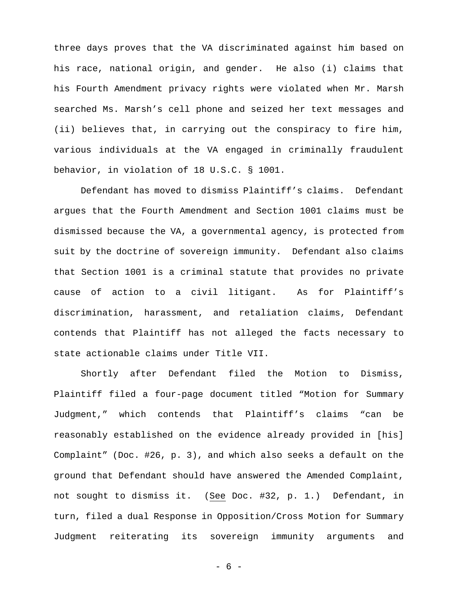three days proves that the VA discriminated against him based on his race, national origin, and gender. He also (i) claims that his Fourth Amendment privacy rights were violated when Mr. Marsh searched Ms. Marsh's cell phone and seized her text messages and (ii) believes that, in carrying out the conspiracy to fire him, various individuals at the VA engaged in criminally fraudulent behavior, in violation of 18 U.S.C. § 1001.

Defendant has moved to dismiss Plaintiff's claims. Defendant argues that the Fourth Amendment and Section 1001 claims must be dismissed because the VA, a governmental agency, is protected from suit by the doctrine of sovereign immunity. Defendant also claims that Section 1001 is a criminal statute that provides no private cause of action to a civil litigant. As for Plaintiff's discrimination, harassment, and retaliation claims, Defendant contends that Plaintiff has not alleged the facts necessary to state actionable claims under Title VII.

Shortly after Defendant filed the Motion to Dismiss, Plaintiff filed a four-page document titled "Motion for Summary Judgment," which contends that Plaintiff's claims "can be reasonably established on the evidence already provided in [his] Complaint" (Doc. #26, p. 3), and which also seeks a default on the ground that Defendant should have answered the Amended Complaint, not sought to dismiss it. (See Doc. #32, p. 1.) Defendant, in turn, filed a dual Response in Opposition/Cross Motion for Summary Judgment reiterating its sovereign immunity arguments and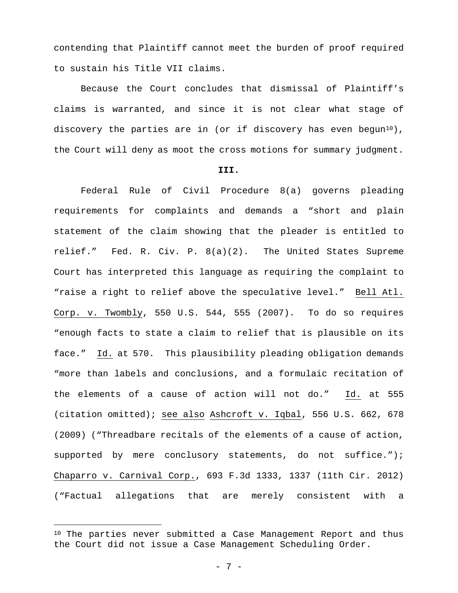contending that Plaintiff cannot meet the burden of proof required to sustain his Title VII claims.

Because the Court concludes that dismissal of Plaintiff's claims is warranted, and since it is not clear what stage of discovery the parties are in (or if discovery has even begun<sup>[10](#page-6-0)</sup>), the Court will deny as moot the cross motions for summary judgment.

#### **III.**

Federal Rule of Civil Procedure 8(a) governs pleading requirements for complaints and demands a "short and plain statement of the claim showing that the pleader is entitled to relief." Fed. R. Civ. P. 8(a)(2). The United States Supreme Court has interpreted this language as requiring the complaint to "raise a right to relief above the speculative level." Bell Atl. Corp. v. Twombly, 550 U.S. 544, 555 (2007). To do so requires "enough facts to state a claim to relief that is plausible on its face." Id. at 570. This plausibility pleading obligation demands "more than labels and conclusions, and a formulaic recitation of the elements of a cause of action will not do." Id. at 555 (citation omitted); see also Ashcroft v. Iqbal, 556 U.S. 662, 678 (2009) ("Threadbare recitals of the elements of a cause of action, supported by mere conclusory statements, do not suffice."); Chaparro v. Carnival Corp., 693 F.3d 1333, 1337 (11th Cir. 2012) ("Factual allegations that are merely consistent with a

<span id="page-6-0"></span><sup>10</sup> The parties never submitted a Case Management Report and thus the Court did not issue a Case Management Scheduling Order.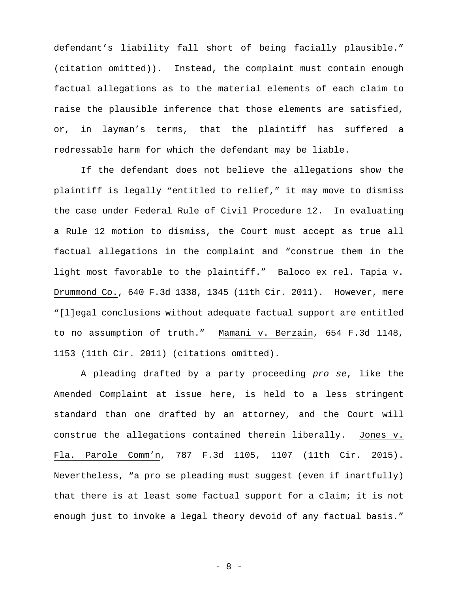defendant's liability fall short of being facially plausible." (citation omitted)). Instead, the complaint must contain enough factual allegations as to the material elements of each claim to raise the plausible inference that those elements are satisfied, or, in layman's terms, that the plaintiff has suffered a redressable harm for which the defendant may be liable.

If the defendant does not believe the allegations show the plaintiff is legally "entitled to relief," it may move to dismiss the case under Federal Rule of Civil Procedure 12. In evaluating a Rule 12 motion to dismiss, the Court must accept as true all factual allegations in the complaint and "construe them in the light most favorable to the plaintiff." Baloco ex rel. Tapia v. Drummond Co., 640 F.3d 1338, 1345 (11th Cir. 2011). However, mere "[l]egal conclusions without adequate factual support are entitled to no assumption of truth." Mamani v. Berzain, 654 F.3d 1148, 1153 (11th Cir. 2011) (citations omitted).

A pleading drafted by a party proceeding pro se, like the Amended Complaint at issue here, is held to a less stringent standard than one drafted by an attorney, and the Court will construe the allegations contained therein liberally. Jones v. Fla. Parole Comm'n, 787 F.3d 1105, 1107 (11th Cir. 2015). Nevertheless, "a pro se pleading must suggest (even if inartfully) that there is at least some factual support for a claim; it is not enough just to invoke a legal theory devoid of any factual basis."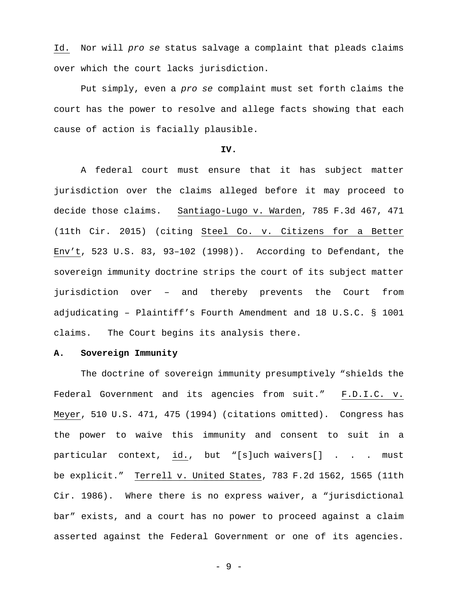Id. Nor will pro se status salvage a complaint that pleads claims over which the court lacks jurisdiction.

Put simply, even a pro se complaint must set forth claims the court has the power to resolve and allege facts showing that each cause of action is facially plausible.

## **IV.**

A federal court must ensure that it has subject matter jurisdiction over the claims alleged before it may proceed to decide those claims. Santiago-Lugo v. Warden, 785 F.3d 467, 471 (11th Cir. 2015) (citing Steel Co. v. Citizens for a Better Env't, 523 U.S. 83, 93–102 (1998)). According to Defendant, the sovereign immunity doctrine strips the court of its subject matter jurisdiction over – and thereby prevents the Court from adjudicating – Plaintiff's Fourth Amendment and 18 U.S.C. § 1001 claims. The Court begins its analysis there.

## **A. Sovereign Immunity**

The doctrine of sovereign immunity presumptively "shields the Federal Government and its agencies from suit." F.D.I.C. v. Meyer, 510 U.S. 471, 475 (1994) (citations omitted). Congress has the power to waive this immunity and consent to suit in a particular context, id., but "[s]uch waivers[] . . . must be explicit." Terrell v. United States, 783 F.2d 1562, 1565 (11th Cir. 1986). Where there is no express waiver, a "jurisdictional bar" exists, and a court has no power to proceed against a claim asserted against the Federal Government or one of its agencies.

- 9 -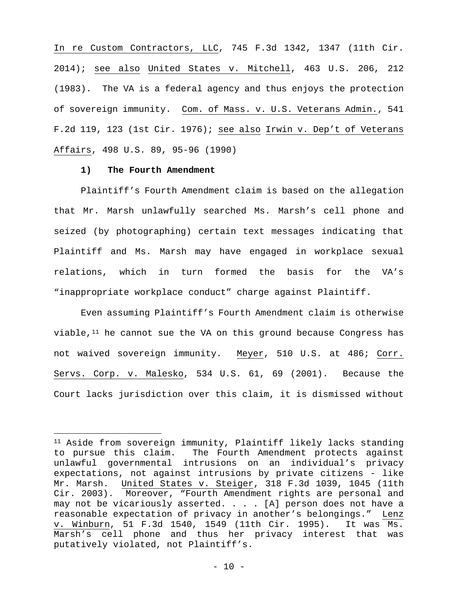In re Custom Contractors, LLC, 745 F.3d 1342, 1347 (11th Cir. 2014); see also United States v. Mitchell, 463 U.S. 206, 212 (1983). The VA is a federal agency and thus enjoys the protection of sovereign immunity. Com. of Mass. v. U.S. Veterans Admin., 541 F.2d 119, 123 (1st Cir. 1976); see also Irwin v. Dep't of Veterans Affairs, 498 U.S. 89, 95-96 (1990)

### **1) The Fourth Amendment**

Plaintiff's Fourth Amendment claim is based on the allegation that Mr. Marsh unlawfully searched Ms. Marsh's cell phone and seized (by photographing) certain text messages indicating that Plaintiff and Ms. Marsh may have engaged in workplace sexual relations, which in turn formed the basis for the VA's "inappropriate workplace conduct" charge against Plaintiff.

Even assuming Plaintiff's Fourth Amendment claim is otherwise viable,  $11$  he cannot sue the VA on this ground because Congress has not waived sovereign immunity. Meyer, 510 U.S. at 486; Corr. Servs. Corp. v. Malesko, 534 U.S. 61, 69 (2001). Because the Court lacks jurisdiction over this claim, it is dismissed without

<span id="page-9-0"></span><sup>11</sup> Aside from sovereign immunity, Plaintiff likely lacks standing to pursue this claim. The Fourth Amendment protects against unlawful governmental intrusions on an individual's privacy expectations, not against intrusions by private citizens - like Mr. Marsh. United States v. Steiger, 318 F.3d 1039, 1045 (11th Cir. 2003). Moreover, "Fourth Amendment rights are personal and may not be vicariously asserted. . . . [A] person does not have a reasonable expectation of privacy in another's belongings." Lenz v. Winburn, 51 F.3d 1540, 1549 (11th Cir. 1995). It was Ms. Marsh's cell phone and thus her privacy interest that was putatively violated, not Plaintiff's.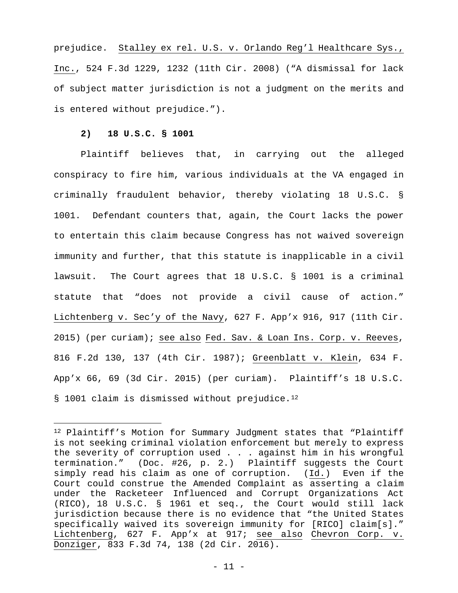prejudice. Stalley ex rel. U.S. v. Orlando Reg'l Healthcare Sys., Inc., 524 F.3d 1229, 1232 (11th Cir. 2008) ("A dismissal for lack of subject matter jurisdiction is not a judgment on the merits and is entered without prejudice.").

## **2) 18 U.S.C. § 1001**

 $\overline{\phantom{0}}$ 

Plaintiff believes that, in carrying out the alleged conspiracy to fire him, various individuals at the VA engaged in criminally fraudulent behavior, thereby violating 18 U.S.C. § 1001. Defendant counters that, again, the Court lacks the power to entertain this claim because Congress has not waived sovereign immunity and further, that this statute is inapplicable in a civil lawsuit. The Court agrees that 18 U.S.C. § 1001 is a criminal statute that "does not provide a civil cause of action." Lichtenberg v. Sec'y of the Navy, 627 F. App'x 916, 917 (11th Cir. 2015) (per curiam); see also Fed. Sav. & Loan Ins. Corp. v. Reeves, 816 F.2d 130, 137 (4th Cir. 1987); Greenblatt v. Klein, 634 F. App'x 66, 69 (3d Cir. 2015) (per curiam). Plaintiff's 18 U.S.C. § 1001 claim is dismissed without prejudice.<sup>[12](#page-10-0)</sup>

<span id="page-10-0"></span><sup>12</sup> Plaintiff's Motion for Summary Judgment states that "Plaintiff is not seeking criminal violation enforcement but merely to express the severity of corruption used . . . against him in his wrongful termination." (Doc. #26, p. 2.) Plaintiff suggests the Court simply read his claim as one of corruption. (Id.) Even if the Court could construe the Amended Complaint as asserting a claim under the Racketeer Influenced and Corrupt Organizations Act (RICO), 18 U.S.C. § 1961 et seq., the Court would still lack jurisdiction because there is no evidence that "the United States specifically waived its sovereign immunity for [RICO] claim[s]." Lichtenberg, 627 F. App'x at 917; see also Chevron Corp. v. Donziger, 833 F.3d 74, 138 (2d Cir. 2016).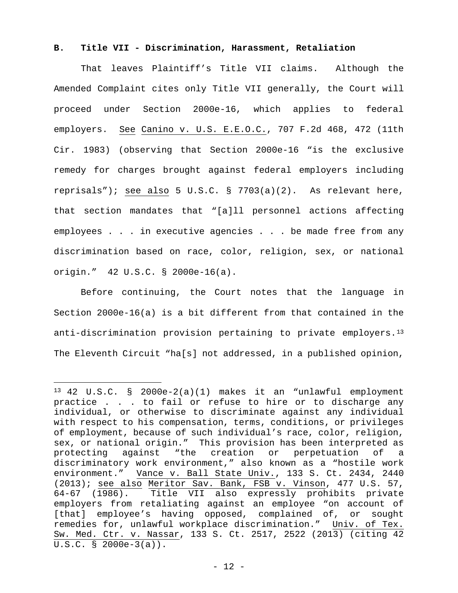## **B. Title VII - Discrimination, Harassment, Retaliation**

That leaves Plaintiff's Title VII claims. Although the Amended Complaint cites only Title VII generally, the Court will proceed under Section 2000e-16, which applies to federal employers. See Canino v. U.S. E.E.O.C., 707 F.2d 468, 472 (11th Cir. 1983) (observing that Section 2000e-16 "is the exclusive remedy for charges brought against federal employers including reprisals"); see also 5 U.S.C. § 7703(a)(2). As relevant here, that section mandates that "[a]ll personnel actions affecting employees . . . in executive agencies . . . be made free from any discrimination based on race, color, religion, sex, or national origin." 42 U.S.C. § 2000e-16(a).

Before continuing, the Court notes that the language in Section 2000e-16(a) is a bit different from that contained in the anti-discrimination provision pertaining to private employers.<sup>[13](#page-11-0)</sup> The Eleventh Circuit "ha[s] not addressed, in a published opinion,

i

<span id="page-11-0"></span><sup>13</sup> 42 U.S.C. § 2000e-2(a)(1) makes it an "unlawful employment practice . . . to fail or refuse to hire or to discharge any individual, or otherwise to discriminate against any individual with respect to his compensation, terms, conditions, or privileges of employment, because of such individual's race, color, religion, sex, or national origin." This provision has been interpreted as protecting against "the creation or perpetuation of a discriminatory work environment," also known as a "hostile work environment." Vance v. Ball State Univ., 133 S. Ct. 2434, 2440 (2013); see also Meritor Sav. Bank, FSB v. Vinson, 477 U.S. 57, 64-67 (1986). Title VII also expressly prohibits private employers from retaliating against an employee "on account of [that] employee's having opposed, complained of, or sought remedies for, unlawful workplace discrimination." Univ. of Tex. Sw. Med. Ctr. v. Nassar, 133 S. Ct. 2517, 2522 (2013) (citing 42 U.S.C. § 2000e-3(a)).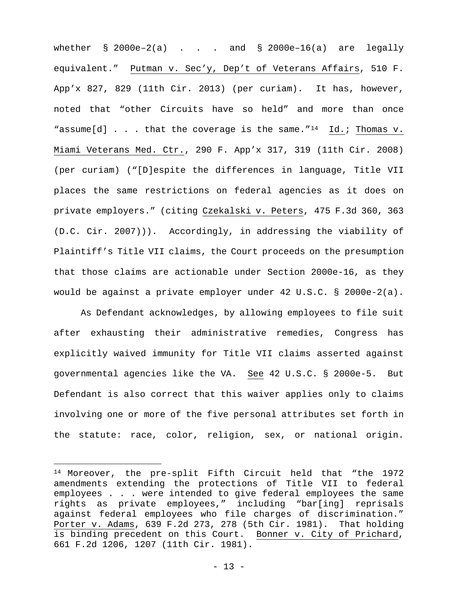whether  $\S$  2000e-2(a) . . . and  $\S$  2000e-16(a) are legally equivalent." Putman v. Sec'y, Dep't of Veterans Affairs, 510 F. App'x 827, 829 (11th Cir. 2013) (per curiam). It has, however, noted that "other Circuits have so held" and more than once "assume[d]  $\ldots$  that the coverage is the same."<sup>[14](#page-12-0)</sup> Id.; Thomas v. Miami Veterans Med. Ctr., 290 F. App'x 317, 319 (11th Cir. 2008) (per curiam) ("[D]espite the differences in language, Title VII places the same restrictions on federal agencies as it does on private employers." (citing Czekalski v. Peters, 475 F.3d 360, 363 (D.C. Cir. 2007))). Accordingly, in addressing the viability of Plaintiff's Title VII claims, the Court proceeds on the presumption that those claims are actionable under Section 2000e-16, as they would be against a private employer under 42 U.S.C. § 2000e-2(a).

As Defendant acknowledges, by allowing employees to file suit after exhausting their administrative remedies, Congress has explicitly waived immunity for Title VII claims asserted against governmental agencies like the VA. See 42 U.S.C. § 2000e-5. But Defendant is also correct that this waiver applies only to claims involving one or more of the five personal attributes set forth in the statute: race, color, religion, sex, or national origin.

 $\overline{\phantom{0}}$ 

<span id="page-12-0"></span><sup>14</sup> Moreover, the pre-split Fifth Circuit held that "the 1972 amendments extending the protections of Title VII to federal employees . . . were intended to give federal employees the same rights as private employees," including "bar[ing] reprisals against federal employees who file charges of discrimination." Porter v. Adams, 639 F.2d 273, 278 (5th Cir. 1981). That holding is binding precedent on this Court. Bonner v. City of Prichard, 661 F.2d 1206, 1207 (11th Cir. 1981).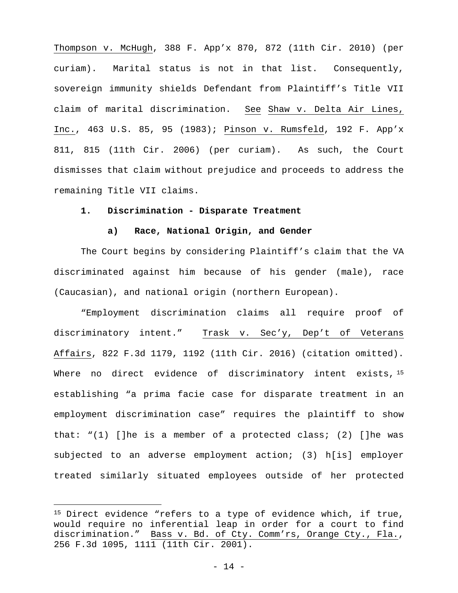Thompson v. McHugh, 388 F. App'x 870, 872 (11th Cir. 2010) (per curiam). Marital status is not in that list. Consequently, sovereign immunity shields Defendant from Plaintiff's Title VII claim of marital discrimination. See Shaw v. Delta Air Lines, Inc., 463 U.S. 85, 95 (1983); Pinson v. Rumsfeld, 192 F. App'x 811, 815 (11th Cir. 2006) (per curiam). As such, the Court dismisses that claim without prejudice and proceeds to address the remaining Title VII claims.

# **1. Discrimination - Disparate Treatment**

# **a) Race, National Origin, and Gender**

The Court begins by considering Plaintiff's claim that the VA discriminated against him because of his gender (male), race (Caucasian), and national origin (northern European).

"Employment discrimination claims all require proof of discriminatory intent." Trask v. Sec'y, Dep't of Veterans Affairs, 822 F.3d 1179, 1192 (11th Cir. 2016) (citation omitted). Where no direct evidence of discriminatory intent exists, [15](#page-13-0) establishing "a prima facie case for disparate treatment in an employment discrimination case" requires the plaintiff to show that: "(1) []he is a member of a protected class; (2) []he was subjected to an adverse employment action; (3) h[is] employer treated similarly situated employees outside of her protected

i

<span id="page-13-0"></span><sup>&</sup>lt;sup>15</sup> Direct evidence "refers to a type of evidence which, if true, would require no inferential leap in order for a court to find discrimination." Bass v. Bd. of Cty. Comm'rs, Orange Cty., Fla., 256 F.3d 1095, 1111 (11th Cir. 2001).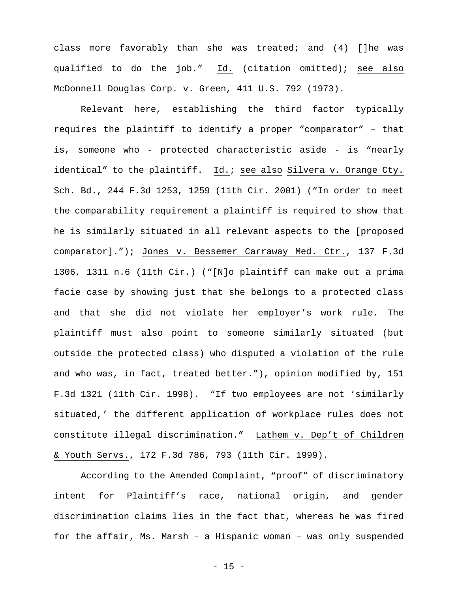class more favorably than she was treated; and (4) []he was qualified to do the job." Id. (citation omitted); see also McDonnell Douglas Corp. v. Green, 411 U.S. 792 (1973).

Relevant here, establishing the third factor typically requires the plaintiff to identify a proper "comparator" – that is, someone who - protected characteristic aside - is "nearly identical" to the plaintiff. Id.; see also Silvera v. Orange Cty. Sch. Bd., 244 F.3d 1253, 1259 (11th Cir. 2001) ("In order to meet the comparability requirement a plaintiff is required to show that he is similarly situated in all relevant aspects to the [proposed comparator]."); Jones v. Bessemer Carraway Med. Ctr., 137 F.3d 1306, 1311 n.6 (11th Cir.) ("[N]o plaintiff can make out a prima facie case by showing just that she belongs to a protected class and that she did not violate her employer's work rule. The plaintiff must also point to someone similarly situated (but outside the protected class) who disputed a violation of the rule and who was, in fact, treated better."), opinion modified by, 151 F.3d 1321 (11th Cir. 1998). "If two employees are not 'similarly situated,' the different application of workplace rules does not constitute illegal discrimination." Lathem v. Dep't of Children & Youth Servs., 172 F.3d 786, 793 (11th Cir. 1999).

According to the Amended Complaint, "proof" of discriminatory intent for Plaintiff's race, national origin, and gender discrimination claims lies in the fact that, whereas he was fired for the affair, Ms. Marsh – a Hispanic woman – was only suspended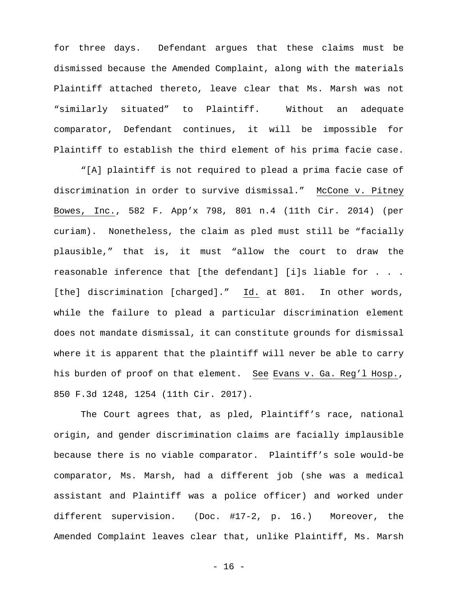for three days. Defendant argues that these claims must be dismissed because the Amended Complaint, along with the materials Plaintiff attached thereto, leave clear that Ms. Marsh was not "similarly situated" to Plaintiff. Without an adequate comparator, Defendant continues, it will be impossible for Plaintiff to establish the third element of his prima facie case.

"[A] plaintiff is not required to plead a prima facie case of discrimination in order to survive dismissal." McCone v. Pitney Bowes, Inc., 582 F. App'x 798, 801 n.4 (11th Cir. 2014) (per curiam). Nonetheless, the claim as pled must still be "facially plausible," that is, it must "allow the court to draw the reasonable inference that [the defendant] [i]s liable for . . . [the] discrimination [charged]." Id. at 801. In other words, while the failure to plead a particular discrimination element does not mandate dismissal, it can constitute grounds for dismissal where it is apparent that the plaintiff will never be able to carry his burden of proof on that element. See Evans v. Ga. Reg'l Hosp., 850 F.3d 1248, 1254 (11th Cir. 2017).

The Court agrees that, as pled, Plaintiff's race, national origin, and gender discrimination claims are facially implausible because there is no viable comparator. Plaintiff's sole would-be comparator, Ms. Marsh, had a different job (she was a medical assistant and Plaintiff was a police officer) and worked under different supervision. (Doc. #17-2, p. 16.) Moreover, the Amended Complaint leaves clear that, unlike Plaintiff, Ms. Marsh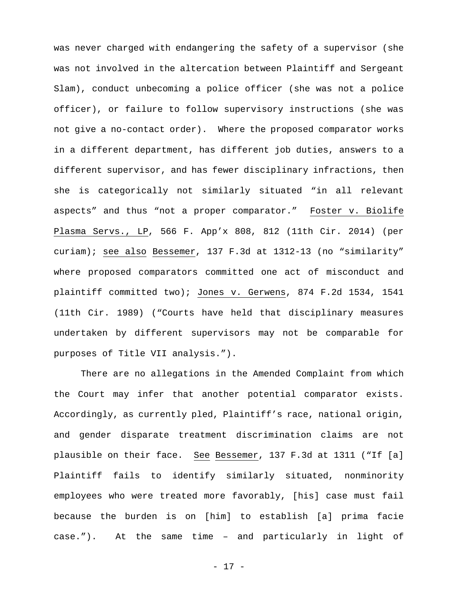was never charged with endangering the safety of a supervisor (she was not involved in the altercation between Plaintiff and Sergeant Slam), conduct unbecoming a police officer (she was not a police officer), or failure to follow supervisory instructions (she was not give a no-contact order). Where the proposed comparator works in a different department, has different job duties, answers to a different supervisor, and has fewer disciplinary infractions, then she is categorically not similarly situated "in all relevant aspects" and thus "not a proper comparator." Foster v. Biolife Plasma Servs., LP, 566 F. App'x 808, 812 (11th Cir. 2014) (per curiam); see also Bessemer, 137 F.3d at 1312-13 (no "similarity" where proposed comparators committed one act of misconduct and plaintiff committed two); Jones v. Gerwens, 874 F.2d 1534, 1541 (11th Cir. 1989) ("Courts have held that disciplinary measures undertaken by different supervisors may not be comparable for purposes of Title VII analysis.").

There are no allegations in the Amended Complaint from which the Court may infer that another potential comparator exists. Accordingly, as currently pled, Plaintiff's race, national origin, and gender disparate treatment discrimination claims are not plausible on their face. See Bessemer, 137 F.3d at 1311 ("If [a] Plaintiff fails to identify similarly situated, nonminority employees who were treated more favorably, [his] case must fail because the burden is on [him] to establish [a] prima facie case."). At the same time – and particularly in light of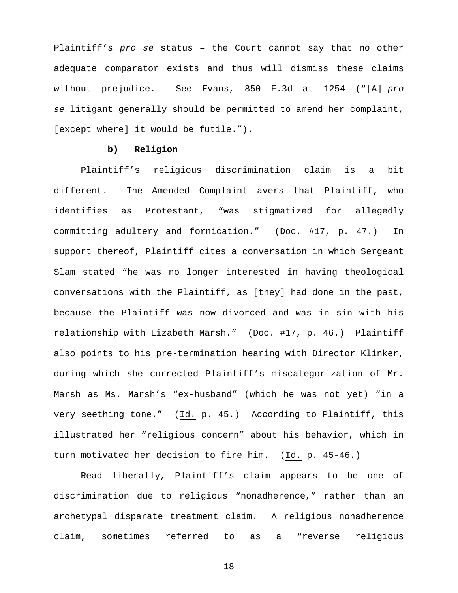Plaintiff's pro se status – the Court cannot say that no other adequate comparator exists and thus will dismiss these claims without prejudice. See Evans, 850 F.3d at 1254 ("[A] pro se litigant generally should be permitted to amend her complaint, [except where] it would be futile.").

## **b) Religion**

Plaintiff's religious discrimination claim is a bit different. The Amended Complaint avers that Plaintiff, who identifies as Protestant, "was stigmatized for allegedly committing adultery and fornication." (Doc. #17, p. 47.) In support thereof, Plaintiff cites a conversation in which Sergeant Slam stated "he was no longer interested in having theological conversations with the Plaintiff, as [they] had done in the past, because the Plaintiff was now divorced and was in sin with his relationship with Lizabeth Marsh." (Doc. #17, p. 46.) Plaintiff also points to his pre-termination hearing with Director Klinker, during which she corrected Plaintiff's miscategorization of Mr. Marsh as Ms. Marsh's "ex-husband" (which he was not yet) "in a very seething tone." (Id. p. 45.) According to Plaintiff, this illustrated her "religious concern" about his behavior, which in turn motivated her decision to fire him. (Id. p. 45-46.)

Read liberally, Plaintiff's claim appears to be one of discrimination due to religious "nonadherence," rather than an archetypal disparate treatment claim. A religious nonadherence claim, sometimes referred to as a "reverse religious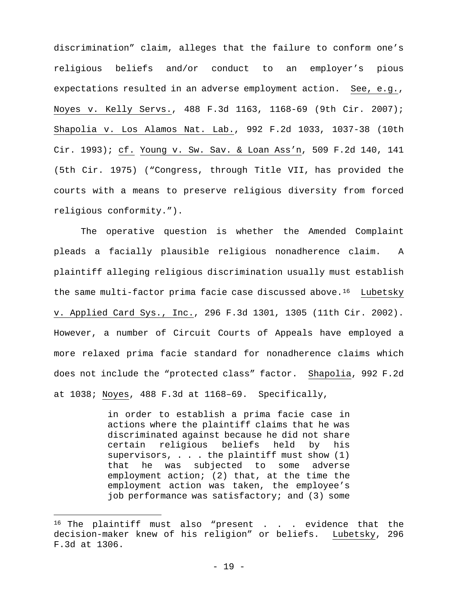discrimination" claim, alleges that the failure to conform one's religious beliefs and/or conduct to an employer's pious expectations resulted in an adverse employment action. See, e.g., Noyes v. Kelly Servs., 488 F.3d 1163, 1168-69 (9th Cir. 2007); Shapolia v. Los Alamos Nat. Lab., 992 F.2d 1033, 1037-38 (10th Cir. 1993); cf. Young v. Sw. Sav. & Loan Ass'n, 509 F.2d 140, 141 (5th Cir. 1975) ("Congress, through Title VII, has provided the courts with a means to preserve religious diversity from forced religious conformity.").

The operative question is whether the Amended Complaint pleads a facially plausible religious nonadherence claim. A plaintiff alleging religious discrimination usually must establish the same multi-factor prima facie case discussed above.<sup>[16](#page-18-0)</sup> Lubetsky v. Applied Card Sys., Inc., 296 F.3d 1301, 1305 (11th Cir. 2002). However, a number of Circuit Courts of Appeals have employed a more relaxed prima facie standard for nonadherence claims which does not include the "protected class" factor. Shapolia, 992 F.2d at 1038; Noyes, 488 F.3d at 1168–69. Specifically,

> in order to establish a prima facie case in actions where the plaintiff claims that he was discriminated against because he did not share certain religious beliefs held by his supervisors,  $\ldots$  the plaintiff must show (1) that he was subjected to some adverse employment action; (2) that, at the time the employment action was taken, the employee's job performance was satisfactory; and (3) some

i

<span id="page-18-0"></span> $16$  The plaintiff must also "present . . . evidence that the decision-maker knew of his religion" or beliefs. Lubetsky, 296 F.3d at 1306.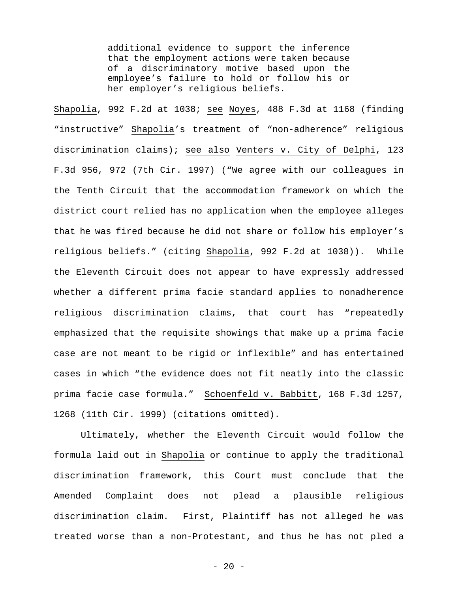additional evidence to support the inference that the employment actions were taken because of a discriminatory motive based upon the employee's failure to hold or follow his or her employer's religious beliefs.

Shapolia, 992 F.2d at 1038; see Noyes, 488 F.3d at 1168 (finding "instructive" Shapolia's treatment of "non-adherence" religious discrimination claims); see also Venters v. City of Delphi, 123 F.3d 956, 972 (7th Cir. 1997) ("We agree with our colleagues in the Tenth Circuit that the accommodation framework on which the district court relied has no application when the employee alleges that he was fired because he did not share or follow his employer's religious beliefs." (citing Shapolia, 992 F.2d at 1038)). While the Eleventh Circuit does not appear to have expressly addressed whether a different prima facie standard applies to nonadherence religious discrimination claims, that court has "repeatedly emphasized that the requisite showings that make up a prima facie case are not meant to be rigid or inflexible" and has entertained cases in which "the evidence does not fit neatly into the classic prima facie case formula." Schoenfeld v. Babbitt, 168 F.3d 1257, 1268 (11th Cir. 1999) (citations omitted).

Ultimately, whether the Eleventh Circuit would follow the formula laid out in Shapolia or continue to apply the traditional discrimination framework, this Court must conclude that the Amended Complaint does not plead a plausible religious discrimination claim. First, Plaintiff has not alleged he was treated worse than a non-Protestant, and thus he has not pled a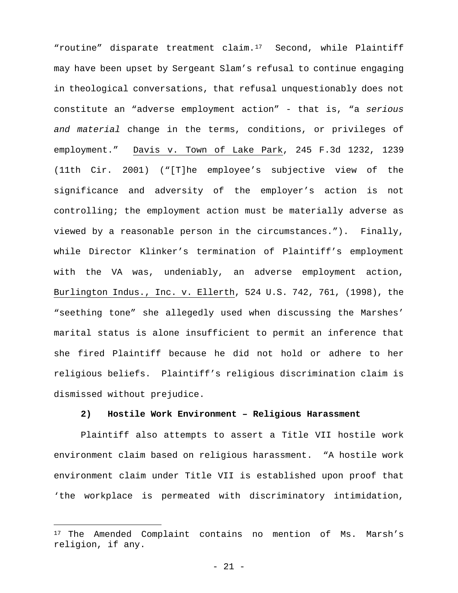"routine" disparate treatment claim.[17](#page-20-0) Second, while Plaintiff may have been upset by Sergeant Slam's refusal to continue engaging in theological conversations, that refusal unquestionably does not constitute an "adverse employment action" - that is, "a serious and material change in the terms, conditions, or privileges of employment." Davis v. Town of Lake Park, 245 F.3d 1232, 1239 (11th Cir. 2001) ("[T]he employee's subjective view of the significance and adversity of the employer's action is not controlling; the employment action must be materially adverse as viewed by a reasonable person in the circumstances."). Finally, while Director Klinker's termination of Plaintiff's employment with the VA was, undeniably, an adverse employment action, Burlington Indus., Inc. v. Ellerth, 524 U.S. 742, 761, (1998), the "seething tone" she allegedly used when discussing the Marshes' marital status is alone insufficient to permit an inference that she fired Plaintiff because he did not hold or adhere to her religious beliefs. Plaintiff's religious discrimination claim is dismissed without prejudice.

## **2) Hostile Work Environment – Religious Harassment**

Plaintiff also attempts to assert a Title VII hostile work environment claim based on religious harassment. "A hostile work environment claim under Title VII is established upon proof that 'the workplace is permeated with discriminatory intimidation,

<span id="page-20-0"></span><sup>&</sup>lt;sup>17</sup> The Amended Complaint contains no mention of Ms. Marsh's religion, if any.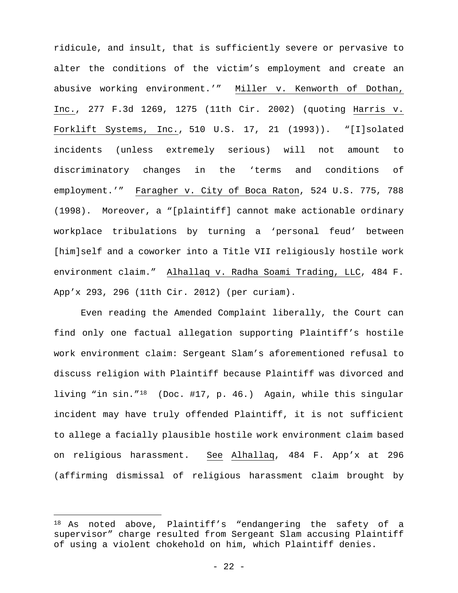ridicule, and insult, that is sufficiently severe or pervasive to alter the conditions of the victim's employment and create an abusive working environment.'" Miller v. Kenworth of Dothan, Inc., 277 F.3d 1269, 1275 (11th Cir. 2002) (quoting Harris v. Forklift Systems, Inc., 510 U.S. 17, 21 (1993)). "[I]solated incidents (unless extremely serious) will not amount to discriminatory changes in the 'terms and conditions of employment.'" Faragher v. City of Boca Raton, 524 U.S. 775, 788 (1998). Moreover, a "[plaintiff] cannot make actionable ordinary workplace tribulations by turning a 'personal feud' between [him]self and a coworker into a Title VII religiously hostile work environment claim." Alhallaq v. Radha Soami Trading, LLC, 484 F. App'x 293, 296 (11th Cir. 2012) (per curiam).

Even reading the Amended Complaint liberally, the Court can find only one factual allegation supporting Plaintiff's hostile work environment claim: Sergeant Slam's aforementioned refusal to discuss religion with Plaintiff because Plaintiff was divorced and living "in sin."[18](#page-21-0) (Doc. #17, p. 46.) Again, while this singular incident may have truly offended Plaintiff, it is not sufficient to allege a facially plausible hostile work environment claim based on religious harassment. See Alhallaq, 484 F. App'x at 296 (affirming dismissal of religious harassment claim brought by

i

<span id="page-21-0"></span><sup>&</sup>lt;sup>18</sup> As noted above, Plaintiff's "endangering the safety of a supervisor" charge resulted from Sergeant Slam accusing Plaintiff of using a violent chokehold on him, which Plaintiff denies.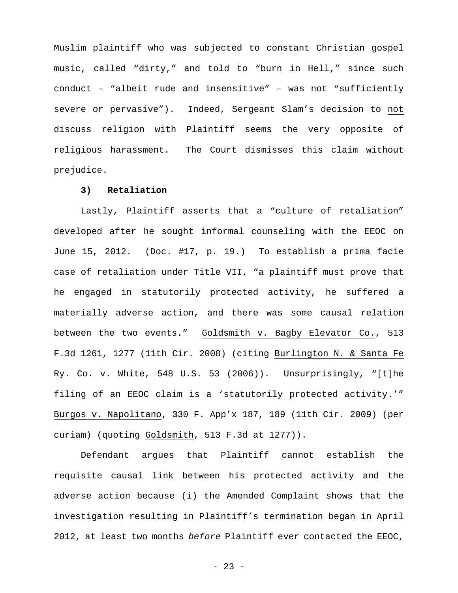Muslim plaintiff who was subjected to constant Christian gospel music, called "dirty," and told to "burn in Hell," since such conduct – "albeit rude and insensitive" – was not "sufficiently severe or pervasive"). Indeed, Sergeant Slam's decision to not discuss religion with Plaintiff seems the very opposite of religious harassment. The Court dismisses this claim without prejudice.

## **3) Retaliation**

Lastly, Plaintiff asserts that a "culture of retaliation" developed after he sought informal counseling with the EEOC on June 15, 2012. (Doc. #17, p. 19.) To establish a prima facie case of retaliation under Title VII, "a plaintiff must prove that he engaged in statutorily protected activity, he suffered a materially adverse action, and there was some causal relation between the two events." Goldsmith v. Bagby Elevator Co., 513 F.3d 1261, 1277 (11th Cir. 2008) (citing Burlington N. & Santa Fe Ry. Co. v. White, 548 U.S. 53 (2006)). Unsurprisingly, "[t]he filing of an EEOC claim is a 'statutorily protected activity.'" Burgos v. Napolitano, 330 F. App'x 187, 189 (11th Cir. 2009) (per curiam) (quoting Goldsmith, 513 F.3d at 1277)).

Defendant argues that Plaintiff cannot establish the requisite causal link between his protected activity and the adverse action because (i) the Amended Complaint shows that the investigation resulting in Plaintiff's termination began in April 2012, at least two months before Plaintiff ever contacted the EEOC,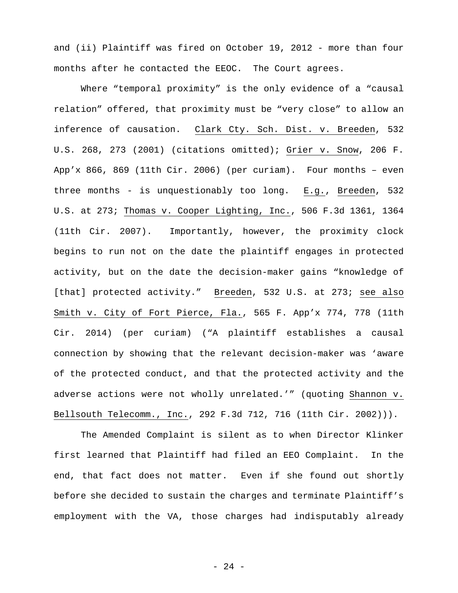and (ii) Plaintiff was fired on October 19, 2012 - more than four months after he contacted the EEOC. The Court agrees.

Where "temporal proximity" is the only evidence of a "causal relation" offered, that proximity must be "very close" to allow an inference of causation. Clark Cty. Sch. Dist. v. Breeden, 532 U.S. 268, 273 (2001) (citations omitted); Grier v. Snow, 206 F. App'x 866, 869 (11th Cir. 2006) (per curiam). Four months – even three months - is unquestionably too long. E.g., Breeden, 532 U.S. at 273; Thomas v. Cooper Lighting, Inc., 506 F.3d 1361, 1364 (11th Cir. 2007). Importantly, however, the proximity clock begins to run not on the date the plaintiff engages in protected activity, but on the date the decision-maker gains "knowledge of [that] protected activity." Breeden, 532 U.S. at 273; see also Smith v. City of Fort Pierce, Fla., 565 F. App'x 774, 778 (11th Cir. 2014) (per curiam) ("A plaintiff establishes a causal connection by showing that the relevant decision-maker was 'aware of the protected conduct, and that the protected activity and the adverse actions were not wholly unrelated.'" (quoting Shannon v. Bellsouth Telecomm., Inc., 292 F.3d 712, 716 (11th Cir. 2002))).

The Amended Complaint is silent as to when Director Klinker first learned that Plaintiff had filed an EEO Complaint. In the end, that fact does not matter. Even if she found out shortly before she decided to sustain the charges and terminate Plaintiff's employment with the VA, those charges had indisputably already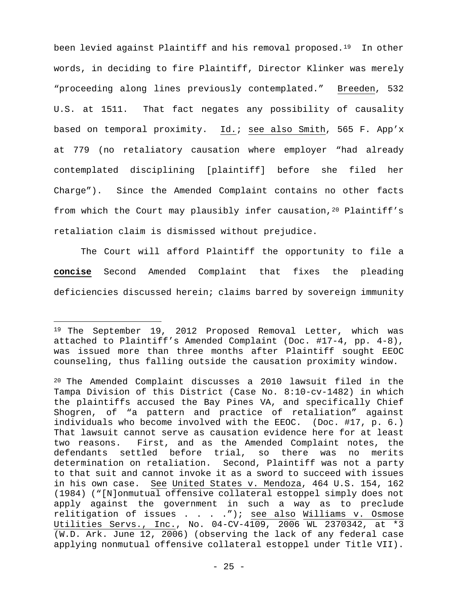been levied against Plaintiff and his removal proposed.<sup>[19](#page-24-0)</sup> In other words, in deciding to fire Plaintiff, Director Klinker was merely "proceeding along lines previously contemplated." Breeden, 532 U.S. at 1511. That fact negates any possibility of causality based on temporal proximity. Id.; see also Smith, 565 F. App'x at 779 (no retaliatory causation where employer "had already contemplated disciplining [plaintiff] before she filed her Charge"). Since the Amended Complaint contains no other facts from which the Court may plausibly infer causation,  $20$  Plaintiff's retaliation claim is dismissed without prejudice.

The Court will afford Plaintiff the opportunity to file a **concise** Second Amended Complaint that fixes the pleading deficiencies discussed herein; claims barred by sovereign immunity

<span id="page-24-0"></span><sup>&</sup>lt;sup>19</sup> The September 19, 2012 Proposed Removal Letter, which was attached to Plaintiff's Amended Complaint (Doc. #17-4, pp. 4-8), was issued more than three months after Plaintiff sought EEOC counseling, thus falling outside the causation proximity window.

<span id="page-24-1"></span><sup>20</sup> The Amended Complaint discusses a 2010 lawsuit filed in the Tampa Division of this District (Case No. 8:10-cv-1482) in which the plaintiffs accused the Bay Pines VA, and specifically Chief Shogren, of "a pattern and practice of retaliation" against individuals who become involved with the EEOC. (Doc. #17, p. 6.) That lawsuit cannot serve as causation evidence here for at least two reasons. First, and as the Amended Complaint notes, the defendants settled before trial, so there was no merits determination on retaliation. Second, Plaintiff was not a party to that suit and cannot invoke it as a sword to succeed with issues in his own case. See United States v. Mendoza, 464 U.S. 154, 162 (1984) ("[N]onmutual offensive collateral estoppel simply does not apply against the government in such a way as to preclude relitigation of issues . . . ."); see also Williams v. Osmose Utilities Servs., Inc., No. 04-CV-4109, 2006 WL 2370342, at \*3 (W.D. Ark. June 12, 2006) (observing the lack of any federal case applying nonmutual offensive collateral estoppel under Title VII).